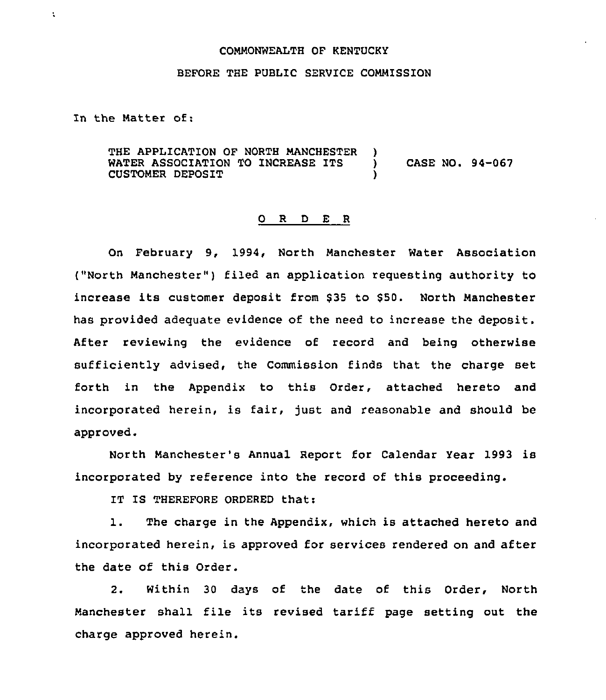## COMMONWEALTH OF KENTUCKY

## BEFORE THE PUBLIC SERVICE COMMISSION

In the Matter of:

 $\ddot{\phantom{a}}$ 

THE APPLICATION OF NORTH MANCHESTER )<br>WATER ASSOCIATION TO INCREASE ITS WATER ASSOCIATION TO INCREASE ITS ) CASE NO. 94-067 CUSTOMER DEPOSIT )

## 0 R <sup>D</sup> E <sup>R</sup>

On February 9, 1994, North Manchester Water Association ("North Manchester") filed an application requesting authority to increase its customer deposit from <sup>635</sup> to \$50. North Manchester has provided adequate evidence of the need to increase the deposit. After reviewing the evidence of record and being otherwise sufficiently advised, the Commission finds that the charge set forth in the Appendix to this Order, attached hereto and incorporated herein, is fair, just and reasonable and should be approved.

North Manchester's Annual Report for Calendar Year 1993 is incorporated by reference into the record of this proceeding.

IT IS THEREFORE ORDERED that:

1. The charge in the Appendix, which is attached hereto and incorporated herein, is approved for services rendered on and after the date of this Order.

2. Within 30 days of the date of this Order, North Manchester shall file its revised tariff page setting out the charge approved herein.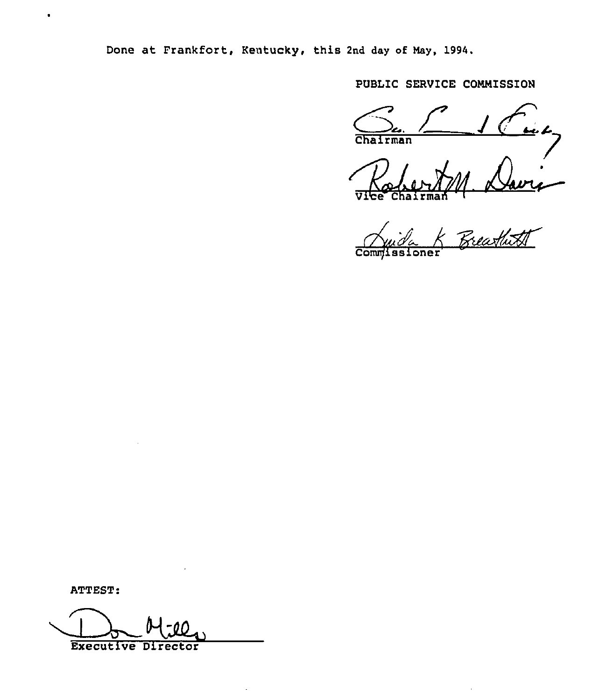Done at Frankfort, Kentucky, this 2nd day of May, 1994.

PUBLIC SERVICE COMMISSION

<u>u</u> 1 Chairman

Freathitt Commissi

ATTEST:

 $\bullet$ 

**Executive Director**